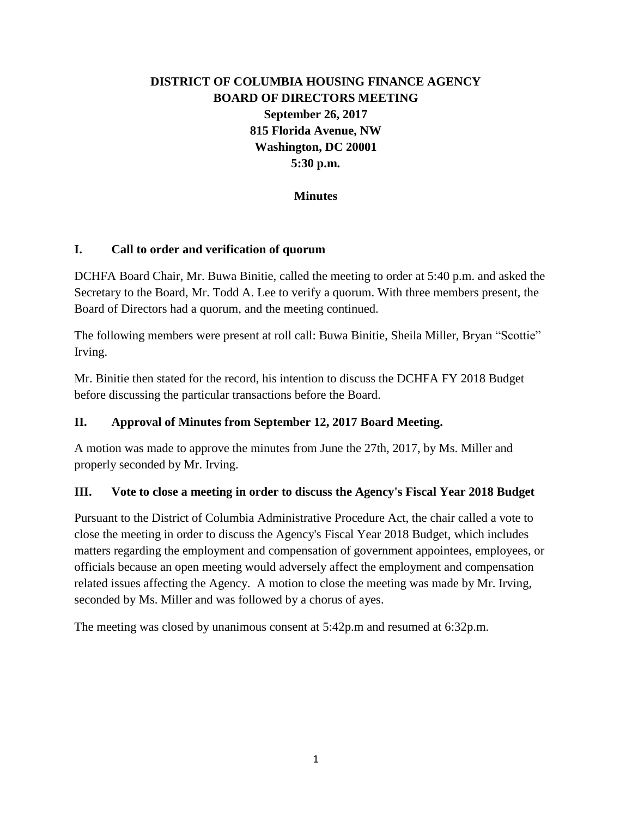# **DISTRICT OF COLUMBIA HOUSING FINANCE AGENCY BOARD OF DIRECTORS MEETING September 26, 2017 815 Florida Avenue, NW Washington, DC 20001 5:30 p.m.**

#### **Minutes**

#### **I. Call to order and verification of quorum**

DCHFA Board Chair, Mr. Buwa Binitie, called the meeting to order at 5:40 p.m. and asked the Secretary to the Board, Mr. Todd A. Lee to verify a quorum. With three members present, the Board of Directors had a quorum, and the meeting continued.

The following members were present at roll call: Buwa Binitie, Sheila Miller, Bryan "Scottie" Irving.

Mr. Binitie then stated for the record, his intention to discuss the DCHFA FY 2018 Budget before discussing the particular transactions before the Board.

#### **II. Approval of Minutes from September 12, 2017 Board Meeting.**

A motion was made to approve the minutes from June the 27th, 2017, by Ms. Miller and properly seconded by Mr. Irving.

#### **III. Vote to close a meeting in order to discuss the Agency's Fiscal Year 2018 Budget**

Pursuant to the District of Columbia Administrative Procedure Act, the chair called a vote to close the meeting in order to discuss the Agency's Fiscal Year 2018 Budget, which includes matters regarding the employment and compensation of government appointees, employees, or officials because an open meeting would adversely affect the employment and compensation related issues affecting the Agency. A motion to close the meeting was made by Mr. Irving, seconded by Ms. Miller and was followed by a chorus of ayes.

The meeting was closed by unanimous consent at 5:42p.m and resumed at 6:32p.m.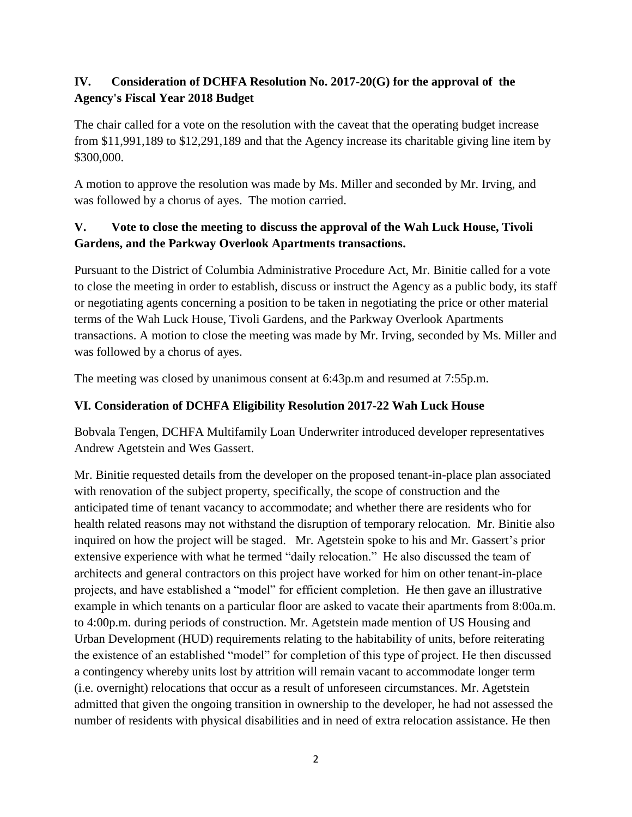## **IV. Consideration of DCHFA Resolution No. 2017-20(G) for the approval of the Agency's Fiscal Year 2018 Budget**

The chair called for a vote on the resolution with the caveat that the operating budget increase from \$11,991,189 to \$12,291,189 and that the Agency increase its charitable giving line item by \$300,000.

A motion to approve the resolution was made by Ms. Miller and seconded by Mr. Irving, and was followed by a chorus of ayes. The motion carried.

# **V. Vote to close the meeting to discuss the approval of the Wah Luck House, Tivoli Gardens, and the Parkway Overlook Apartments transactions.**

Pursuant to the District of Columbia Administrative Procedure Act, Mr. Binitie called for a vote to close the meeting in order to establish, discuss or instruct the Agency as a public body, its staff or negotiating agents concerning a position to be taken in negotiating the price or other material terms of the Wah Luck House, Tivoli Gardens, and the Parkway Overlook Apartments transactions. A motion to close the meeting was made by Mr. Irving, seconded by Ms. Miller and was followed by a chorus of ayes.

The meeting was closed by unanimous consent at 6:43p.m and resumed at 7:55p.m.

## **VI. Consideration of DCHFA Eligibility Resolution 2017-22 Wah Luck House**

Bobvala Tengen, DCHFA Multifamily Loan Underwriter introduced developer representatives Andrew Agetstein and Wes Gassert.

Mr. Binitie requested details from the developer on the proposed tenant-in-place plan associated with renovation of the subject property, specifically, the scope of construction and the anticipated time of tenant vacancy to accommodate; and whether there are residents who for health related reasons may not withstand the disruption of temporary relocation. Mr. Binitie also inquired on how the project will be staged. Mr. Agetstein spoke to his and Mr. Gassert's prior extensive experience with what he termed "daily relocation." He also discussed the team of architects and general contractors on this project have worked for him on other tenant-in-place projects, and have established a "model" for efficient completion. He then gave an illustrative example in which tenants on a particular floor are asked to vacate their apartments from 8:00a.m. to 4:00p.m. during periods of construction. Mr. Agetstein made mention of US Housing and Urban Development (HUD) requirements relating to the habitability of units, before reiterating the existence of an established "model" for completion of this type of project. He then discussed a contingency whereby units lost by attrition will remain vacant to accommodate longer term (i.e. overnight) relocations that occur as a result of unforeseen circumstances. Mr. Agetstein admitted that given the ongoing transition in ownership to the developer, he had not assessed the number of residents with physical disabilities and in need of extra relocation assistance. He then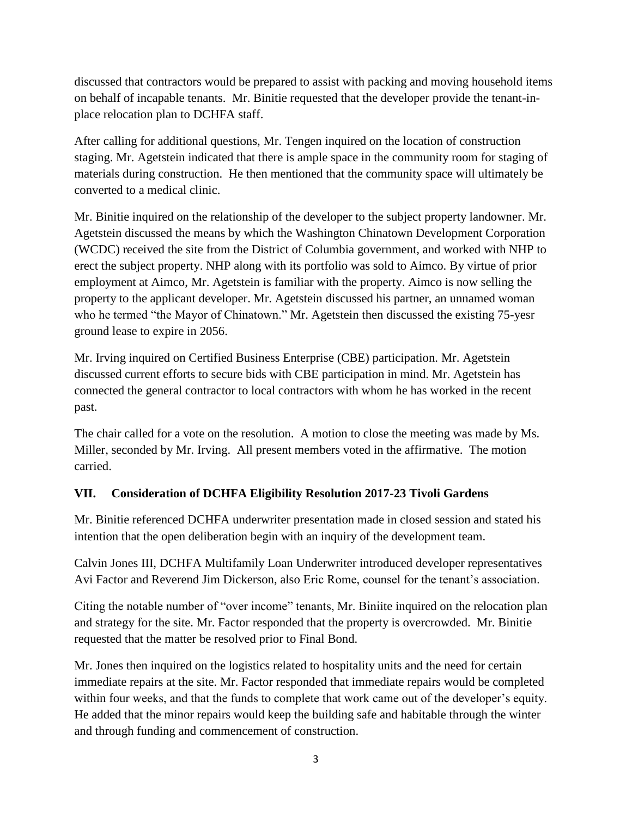discussed that contractors would be prepared to assist with packing and moving household items on behalf of incapable tenants. Mr. Binitie requested that the developer provide the tenant-inplace relocation plan to DCHFA staff.

After calling for additional questions, Mr. Tengen inquired on the location of construction staging. Mr. Agetstein indicated that there is ample space in the community room for staging of materials during construction. He then mentioned that the community space will ultimately be converted to a medical clinic.

Mr. Binitie inquired on the relationship of the developer to the subject property landowner. Mr. Agetstein discussed the means by which the Washington Chinatown Development Corporation (WCDC) received the site from the District of Columbia government, and worked with NHP to erect the subject property. NHP along with its portfolio was sold to Aimco. By virtue of prior employment at Aimco, Mr. Agetstein is familiar with the property. Aimco is now selling the property to the applicant developer. Mr. Agetstein discussed his partner, an unnamed woman who he termed "the Mayor of Chinatown." Mr. Agetstein then discussed the existing 75-yesr ground lease to expire in 2056.

Mr. Irving inquired on Certified Business Enterprise (CBE) participation. Mr. Agetstein discussed current efforts to secure bids with CBE participation in mind. Mr. Agetstein has connected the general contractor to local contractors with whom he has worked in the recent past.

The chair called for a vote on the resolution. A motion to close the meeting was made by Ms. Miller, seconded by Mr. Irving. All present members voted in the affirmative. The motion carried.

### **VII. Consideration of DCHFA Eligibility Resolution 2017-23 Tivoli Gardens**

Mr. Binitie referenced DCHFA underwriter presentation made in closed session and stated his intention that the open deliberation begin with an inquiry of the development team.

Calvin Jones III, DCHFA Multifamily Loan Underwriter introduced developer representatives Avi Factor and Reverend Jim Dickerson, also Eric Rome, counsel for the tenant's association.

Citing the notable number of "over income" tenants, Mr. Biniite inquired on the relocation plan and strategy for the site. Mr. Factor responded that the property is overcrowded. Mr. Binitie requested that the matter be resolved prior to Final Bond.

Mr. Jones then inquired on the logistics related to hospitality units and the need for certain immediate repairs at the site. Mr. Factor responded that immediate repairs would be completed within four weeks, and that the funds to complete that work came out of the developer's equity. He added that the minor repairs would keep the building safe and habitable through the winter and through funding and commencement of construction.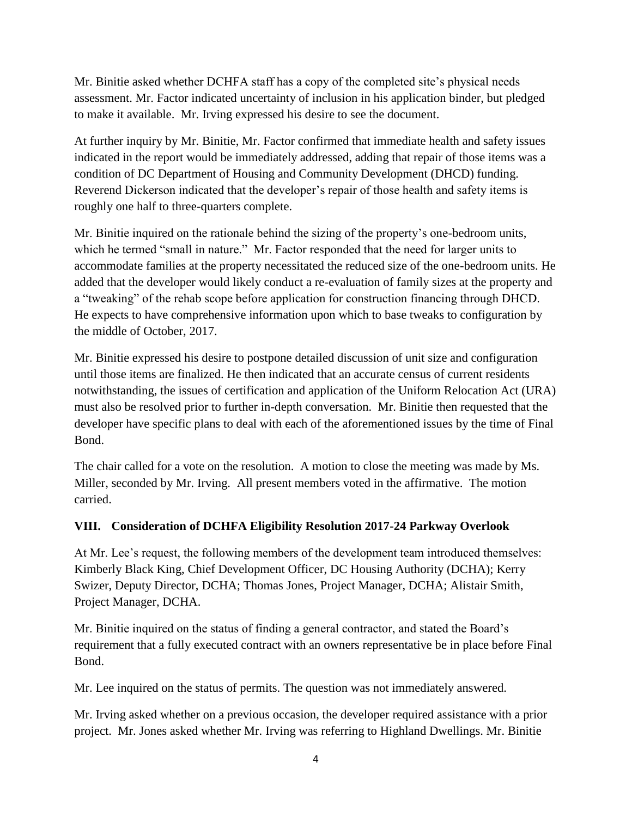Mr. Binitie asked whether DCHFA staff has a copy of the completed site's physical needs assessment. Mr. Factor indicated uncertainty of inclusion in his application binder, but pledged to make it available. Mr. Irving expressed his desire to see the document.

At further inquiry by Mr. Binitie, Mr. Factor confirmed that immediate health and safety issues indicated in the report would be immediately addressed, adding that repair of those items was a condition of DC Department of Housing and Community Development (DHCD) funding. Reverend Dickerson indicated that the developer's repair of those health and safety items is roughly one half to three-quarters complete.

Mr. Binitie inquired on the rationale behind the sizing of the property's one-bedroom units, which he termed "small in nature." Mr. Factor responded that the need for larger units to accommodate families at the property necessitated the reduced size of the one-bedroom units. He added that the developer would likely conduct a re-evaluation of family sizes at the property and a "tweaking" of the rehab scope before application for construction financing through DHCD. He expects to have comprehensive information upon which to base tweaks to configuration by the middle of October, 2017.

Mr. Binitie expressed his desire to postpone detailed discussion of unit size and configuration until those items are finalized. He then indicated that an accurate census of current residents notwithstanding, the issues of certification and application of the Uniform Relocation Act (URA) must also be resolved prior to further in-depth conversation. Mr. Binitie then requested that the developer have specific plans to deal with each of the aforementioned issues by the time of Final Bond.

The chair called for a vote on the resolution. A motion to close the meeting was made by Ms. Miller, seconded by Mr. Irving. All present members voted in the affirmative. The motion carried.

#### **VIII. Consideration of DCHFA Eligibility Resolution 2017-24 Parkway Overlook**

At Mr. Lee's request, the following members of the development team introduced themselves: Kimberly Black King, Chief Development Officer, DC Housing Authority (DCHA); Kerry Swizer, Deputy Director, DCHA; Thomas Jones, Project Manager, DCHA; Alistair Smith, Project Manager, DCHA.

Mr. Binitie inquired on the status of finding a general contractor, and stated the Board's requirement that a fully executed contract with an owners representative be in place before Final Bond.

Mr. Lee inquired on the status of permits. The question was not immediately answered.

Mr. Irving asked whether on a previous occasion, the developer required assistance with a prior project. Mr. Jones asked whether Mr. Irving was referring to Highland Dwellings. Mr. Binitie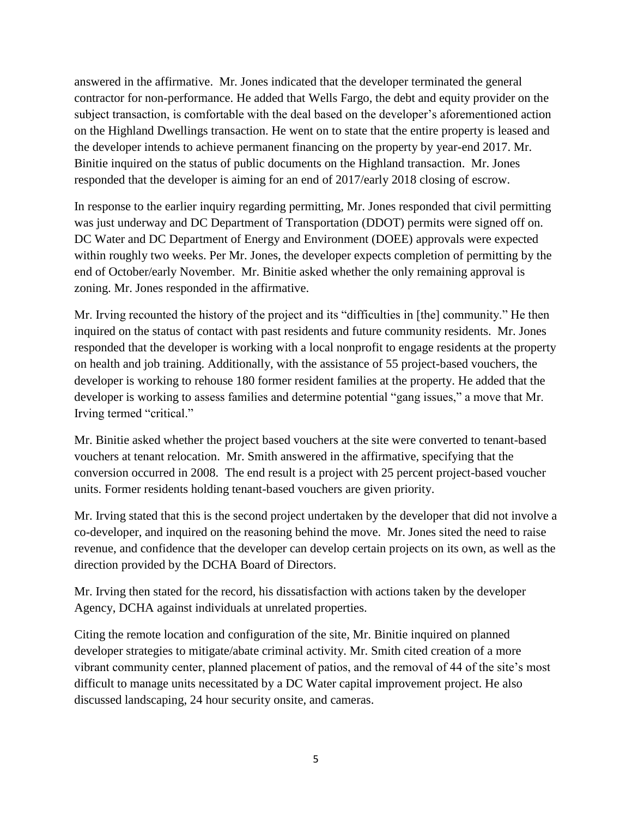answered in the affirmative. Mr. Jones indicated that the developer terminated the general contractor for non-performance. He added that Wells Fargo, the debt and equity provider on the subject transaction, is comfortable with the deal based on the developer's aforementioned action on the Highland Dwellings transaction. He went on to state that the entire property is leased and the developer intends to achieve permanent financing on the property by year-end 2017. Mr. Binitie inquired on the status of public documents on the Highland transaction. Mr. Jones responded that the developer is aiming for an end of 2017/early 2018 closing of escrow.

In response to the earlier inquiry regarding permitting, Mr. Jones responded that civil permitting was just underway and DC Department of Transportation (DDOT) permits were signed off on. DC Water and DC Department of Energy and Environment (DOEE) approvals were expected within roughly two weeks. Per Mr. Jones, the developer expects completion of permitting by the end of October/early November. Mr. Binitie asked whether the only remaining approval is zoning. Mr. Jones responded in the affirmative.

Mr. Irving recounted the history of the project and its "difficulties in [the] community." He then inquired on the status of contact with past residents and future community residents. Mr. Jones responded that the developer is working with a local nonprofit to engage residents at the property on health and job training. Additionally, with the assistance of 55 project-based vouchers, the developer is working to rehouse 180 former resident families at the property. He added that the developer is working to assess families and determine potential "gang issues," a move that Mr. Irving termed "critical."

Mr. Binitie asked whether the project based vouchers at the site were converted to tenant-based vouchers at tenant relocation. Mr. Smith answered in the affirmative, specifying that the conversion occurred in 2008. The end result is a project with 25 percent project-based voucher units. Former residents holding tenant-based vouchers are given priority.

Mr. Irving stated that this is the second project undertaken by the developer that did not involve a co-developer, and inquired on the reasoning behind the move. Mr. Jones sited the need to raise revenue, and confidence that the developer can develop certain projects on its own, as well as the direction provided by the DCHA Board of Directors.

Mr. Irving then stated for the record, his dissatisfaction with actions taken by the developer Agency, DCHA against individuals at unrelated properties.

Citing the remote location and configuration of the site, Mr. Binitie inquired on planned developer strategies to mitigate/abate criminal activity. Mr. Smith cited creation of a more vibrant community center, planned placement of patios, and the removal of 44 of the site's most difficult to manage units necessitated by a DC Water capital improvement project. He also discussed landscaping, 24 hour security onsite, and cameras.